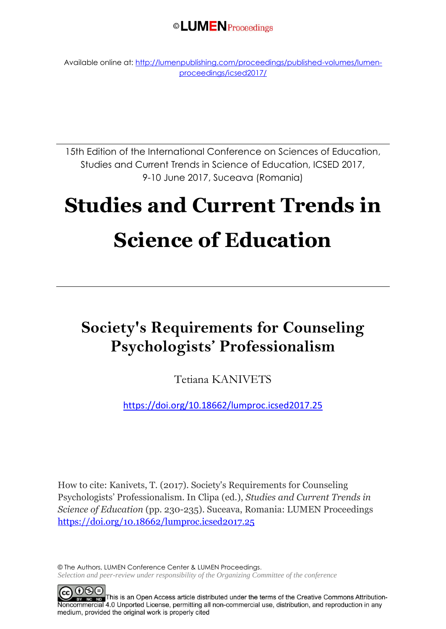©LUMENProceedings

Available online at[: http://lumenpublishing.com/proceedings/published-volumes/lumen](http://lumenpublishing.com/proceedings/published-volumes/lumen-proceedings/icsed2017/)[proceedings/icsed2017/](http://lumenpublishing.com/proceedings/published-volumes/lumen-proceedings/icsed2017/)

15th Edition of the International Conference on Sciences of Education, Studies and Current Trends in Science of Education, ICSED 2017, 9-10 June 2017, Suceava (Romania)

# **Studies and Current Trends in Science of Education**

# **Society's Requirements for Counseling Psychologists' Professionalism**

Tetiana KANIVETS

<https://doi.org/10.18662/lumproc.icsed2017.25>

How to cite: Kanivets, T. (2017). Society's Requirements for Counseling Psychologists' Professionalism. In Clipa (ed.), *Studies and Current Trends in Science of Education* (pp. 230-235). Suceava, Romania: LUMEN Proceedings <https://doi.org/10.18662/lumproc.icsed2017.25>

© The Authors, LUMEN Conference Center & LUMEN Proceedings. *Selection and peer-review under responsibility of the Organizing Committee of the conference*

 $0$ 90 BY NG ND This is an Open Access article distributed under the terms of the Creative Commons Attribution-Noncommercial 4.0 Unported License, permitting all non-commercial use, distribution, and reproduction in any medium, provided the original work is properly cited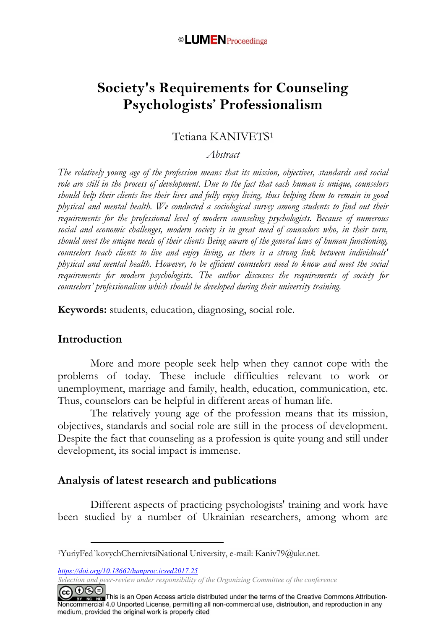### ©LUMENProceedings

# **Society's Requirements for Counseling Psychologists' Professionalism**

#### Tetiana KANIVETS<sup>1</sup>

#### *Abstract*

*The relatively young age of the profession means that its mission, objectives, standards and social role are still in the process of development. Due to the fact that each human is unique, counselors should help their clients live their lives and fully enjoy living, thus helping them to remain in good physical and mental health. We conducted a sociological survey among students to find out their requirements for the professional level of modern counseling psychologists. Because of numerous social and economic challenges, modern society is in great need of counselors who, in their turn, should meet the unique needs of their clients Being aware of the general laws of human functioning, counselors teach clients to live and enjoy living, as there is a strong link between individuals' physical and mental health. However, to be efficient counselors need to know and meet the social requirements for modern psychologists. The author discusses the requirements of society for counselors' professionalism which should be developed during their university training.*

**Keywords:** students, education, diagnosing, social role.

#### **Introduction**

More and more people seek help when they cannot cope with the problems of today. These include difficulties relevant to work or unemployment, marriage and family, health, education, communication, etc. Thus, counselors can be helpful in different areas of human life.

The relatively young age of the profession means that its mission, objectives, standards and social role are still in the process of development. Despite the fact that counseling as a profession is quite young and still under development, its social impact is immense.

#### **Analysis of latest research and publications**

Different aspects of practicing psychologists' training and work have been studied by a number of Ukrainian researchers, among whom are

*https://doi.org/10.18662/lumproc.icsed2017.25*

<u>.</u>

*Selection and peer-review under responsibility of the Organizing Committee of the conference*

CC O S E<br> **EXECUTE:** This is an Open Access article distributed under the terms of the Creative Commons Attribution-<br>Noncommercial 4.0 Unported License, permitting all non-commercial use, distribution, and reproduction in medium, provided the original work is properly cited

<sup>1</sup>YuriyFed`kovychChernivtsiNational University, e-mail: Kaniv79@ukr.net.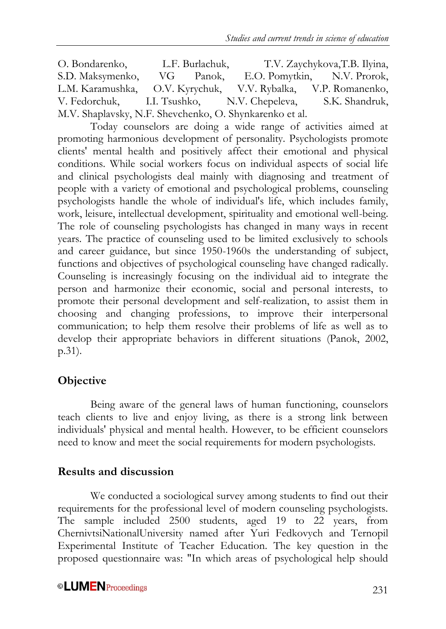O. Bondarenko, L.F. Burlachuk, T.V. Zaychykova,T.B. Ilyina, S.D. Maksymenko, VG Panok, E.O. Pomytkin, N.V. Prorok, L.M. Karamushka, O.V. Kyrychuk, V.V. Rybalka, V.P. Romanenko, V. Fedorchuk, I.I. Tsushko, N.V. Chepeleva, S.K. Shandruk, M.V. Shaplavsky, N.F. Shevchenko, O. Shynkarenko et al.

Today counselors are doing a wide range of activities aimed at promoting harmonious development of personality. Psychologists promote clients' mental health and positively affect their emotional and physical conditions. While social workers focus on individual aspects of social life and clinical psychologists deal mainly with diagnosing and treatment of people with a variety of emotional and psychological problems, counseling psychologists handle the whole of individual's life, which includes family, work, leisure, intellectual development, spirituality and emotional well-being. The role of counseling psychologists has changed in many ways in recent years. The practice of counseling used to be limited exclusively to schools and career guidance, but since 1950-1960s the understanding of subject, functions and objectives of psychological counseling have changed radically. Counseling is increasingly focusing on the individual aid to integrate the person and harmonize their economic, social and personal interests, to promote their personal development and self-realization, to assist them in choosing and changing professions, to improve their interpersonal communication; to help them resolve their problems of life as well as to develop their appropriate behaviors in different situations (Panok, 2002, p.31).

# **Objective**

Being aware of the general laws of human functioning, counselors teach clients to live and enjoy living, as there is a strong link between individuals' physical and mental health. However, to be efficient counselors need to know and meet the social requirements for modern psychologists.

# **Results and discussion**

We conducted a sociological survey among students to find out their requirements for the professional level of modern counseling psychologists. The sample included 2500 students, aged 19 to 22 years, from ChernivtsiNationalUniversity named after Yuri Fedkovych and Ternopil Experimental Institute of Teacher Education. The key question in the proposed questionnaire was: "In which areas of psychological help should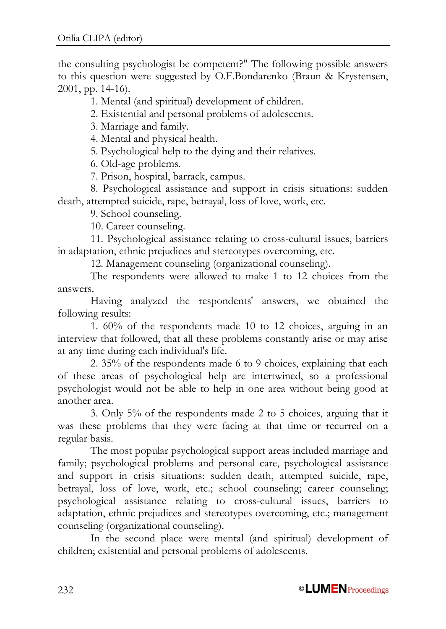the consulting psychologist be competent?" The following possible answers to this question were suggested by O.F.Bondarenko (Braun & Krystensen, 2001, pp. 14-16).

1. Mental (and spiritual) development of children.

2. Existential and personal problems of adolescents.

3. Marriage and family.

4. Mental and physical health.

5. Psychological help to the dying and their relatives.

6. Old-age problems.

7. Prison, hospital, barrack, campus.

8. Psychological assistance and support in crisis situations: sudden death, attempted suicide, rape, betrayal, loss of love, work, etc.

9. School counseling.

10. Career counseling.

11. Psychological assistance relating to cross-cultural issues, barriers in adaptation, ethnic prejudices and stereotypes overcoming, etc.

12. Management counseling (organizational counseling).

The respondents were allowed to make 1 to 12 choices from the answers.

Having analyzed the respondents' answers, we obtained the following results:

1. 60% of the respondents made 10 to 12 choices, arguing in an interview that followed, that all these problems constantly arise or may arise at any time during each individual's life.

2. 35% of the respondents made 6 to 9 choices, explaining that each of these areas of psychological help are intertwined, so a professional psychologist would not be able to help in one area without being good at another area.

3. Only 5% of the respondents made 2 to 5 choices, arguing that it was these problems that they were facing at that time or recurred on a regular basis.

The most popular psychological support areas included marriage and family; psychological problems and personal care, psychological assistance and support in crisis situations: sudden death, attempted suicide, rape, betrayal, loss of love, work, etc.; school counseling; career counseling; psychological assistance relating to cross-cultural issues, barriers to adaptation, ethnic prejudices and stereotypes overcoming, etc.; management counseling (organizational counseling).

In the second place were mental (and spiritual) development of children; existential and personal problems of adolescents.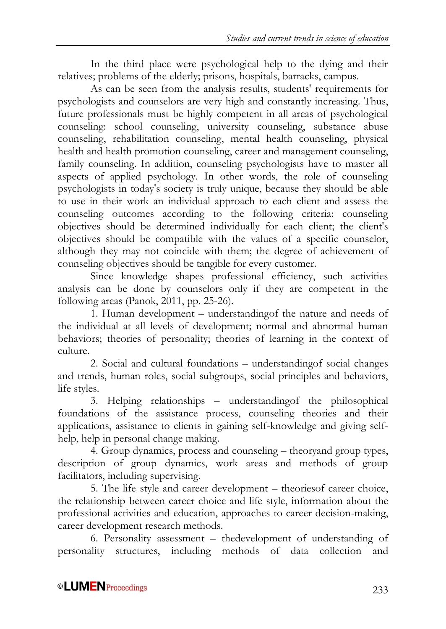In the third place were psychological help to the dying and their relatives; problems of the elderly; prisons, hospitals, barracks, campus.

As can be seen from the analysis results, students' requirements for psychologists and counselors are very high and constantly increasing. Thus, future professionals must be highly competent in all areas of psychological counseling: school counseling, university counseling, substance abuse counseling, rehabilitation counseling, mental health counseling, physical health and health promotion counseling, career and management counseling, family counseling. In addition, counseling psychologists have to master all aspects of applied psychology. In other words, the role of counseling psychologists in today's society is truly unique, because they should be able to use in their work an individual approach to each client and assess the counseling outcomes according to the following criteria: counseling objectives should be determined individually for each client; the client's objectives should be compatible with the values of a specific counselor, although they may not coincide with them; the degree of achievement of counseling objectives should be tangible for every customer.

Since knowledge shapes professional efficiency, such activities analysis can be done by counselors only if they are competent in the following areas (Panok, 2011, pp. 25-26).

1. Human development – understandingof the nature and needs of the individual at all levels of development; normal and abnormal human behaviors; theories of personality; theories of learning in the context of culture.

2. Social and cultural foundations – understandingof social changes and trends, human roles, social subgroups, social principles and behaviors, life styles.

3. Helping relationships – understandingof the philosophical foundations of the assistance process, counseling theories and their applications, assistance to clients in gaining self-knowledge and giving selfhelp, help in personal change making.

4. Group dynamics, process and counseling – theoryand group types, description of group dynamics, work areas and methods of group facilitators, including supervising.

5. The life style and career development – theoriesof career choice, the relationship between career choice and life style, information about the professional activities and education, approaches to career decision-making, career development research methods.

6. Personality assessment – thedevelopment of understanding of personality structures, including methods of data collection and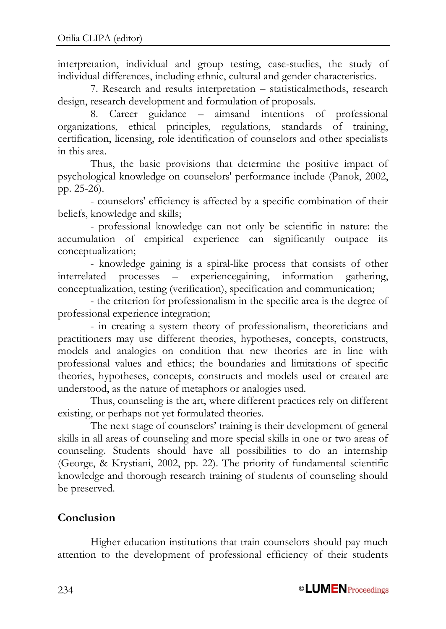interpretation, individual and group testing, case-studies, the study of individual differences, including ethnic, cultural and gender characteristics.

7. Research and results interpretation – statisticalmethods, research design, research development and formulation of proposals.

8. Career guidance – aimsand intentions of professional organizations, ethical principles, regulations, standards of training, certification, licensing, role identification of counselors and other specialists in this area.

Thus, the basic provisions that determine the positive impact of psychological knowledge on counselors' performance include (Panok, 2002, pp. 25-26).

- counselors' efficiency is affected by a specific combination of their beliefs, knowledge and skills;

- professional knowledge can not only be scientific in nature: the accumulation of empirical experience can significantly outpace its conceptualization;

- knowledge gaining is a spiral-like process that consists of other interrelated processes – experiencegaining, information gathering, conceptualization, testing (verification), specification and communication;

- the criterion for professionalism in the specific area is the degree of professional experience integration;

- in creating a system theory of professionalism, theoreticians and practitioners may use different theories, hypotheses, concepts, constructs, models and analogies on condition that new theories are in line with professional values and ethics; the boundaries and limitations of specific theories, hypotheses, concepts, constructs and models used or created are understood, as the nature of metaphors or analogies used.

Thus, counseling is the art, where different practices rely on different existing, or perhaps not yet formulated theories.

The next stage of counselors' training is their development of general skills in all areas of counseling and more special skills in one or two areas of counseling. Students should have all possibilities to do an internship (George, & Krystiani, 2002, pp. 22). The priority of fundamental scientific knowledge and thorough research training of students of counseling should be preserved.

# **Conclusion**

Higher education institutions that train counselors should pay much attention to the development of professional efficiency of their students